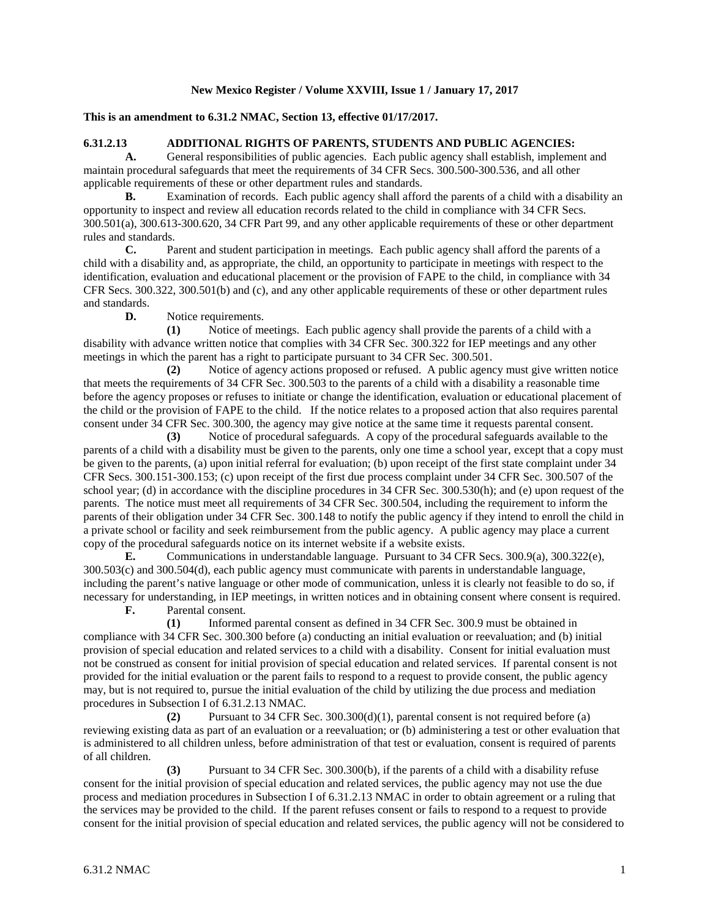## **New Mexico Register / Volume XXVIII, Issue 1 / January 17, 2017**

## **This is an amendment to 6.31.2 NMAC, Section 13, effective 01/17/2017.**

## **6.31.2.13 ADDITIONAL RIGHTS OF PARENTS, STUDENTS AND PUBLIC AGENCIES:**

A. General responsibilities of public agencies. Each public agency shall establish, implement and maintain procedural safeguards that meet the requirements of 34 CFR Secs. 300.500-300.536, and all other applicable requirements of these or other department rules and standards.

**B.** Examination of records. Each public agency shall afford the parents of a child with a disability an opportunity to inspect and review all education records related to the child in compliance with 34 CFR Secs. 300.501(a), 300.613-300.620, 34 CFR Part 99, and any other applicable requirements of these or other department rules and standards.

**C.** Parent and student participation in meetings. Each public agency shall afford the parents of a child with a disability and, as appropriate, the child, an opportunity to participate in meetings with respect to the identification, evaluation and educational placement or the provision of FAPE to the child, in compliance with 34 CFR Secs. 300.322, 300.501(b) and (c), and any other applicable requirements of these or other department rules and standards.

**D.** Notice requirements.

**(1)** Notice of meetings. Each public agency shall provide the parents of a child with a disability with advance written notice that complies with 34 CFR Sec. 300.322 for IEP meetings and any other meetings in which the parent has a right to participate pursuant to 34 CFR Sec. 300.501.

**(2)** Notice of agency actions proposed or refused. A public agency must give written notice that meets the requirements of 34 CFR Sec. 300.503 to the parents of a child with a disability a reasonable time before the agency proposes or refuses to initiate or change the identification, evaluation or educational placement of the child or the provision of FAPE to the child. If the notice relates to a proposed action that also requires parental consent under 34 CFR Sec. 300.300, the agency may give notice at the same time it requests parental consent.

**(3)** Notice of procedural safeguards. A copy of the procedural safeguards available to the parents of a child with a disability must be given to the parents, only one time a school year, except that a copy must be given to the parents, (a) upon initial referral for evaluation; (b) upon receipt of the first state complaint under 34 CFR Secs. 300.151-300.153; (c) upon receipt of the first due process complaint under 34 CFR Sec. 300.507 of the school year; (d) in accordance with the discipline procedures in 34 CFR Sec. 300.530(h); and (e) upon request of the parents. The notice must meet all requirements of 34 CFR Sec. 300.504, including the requirement to inform the parents of their obligation under 34 CFR Sec. 300.148 to notify the public agency if they intend to enroll the child in a private school or facility and seek reimbursement from the public agency. A public agency may place a current copy of the procedural safeguards notice on its internet website if a website exists.

**E.** Communications in understandable language. Pursuant to 34 CFR Secs. 300.9(a), 300.322(e), 300.503(c) and 300.504(d), each public agency must communicate with parents in understandable language, including the parent's native language or other mode of communication, unless it is clearly not feasible to do so, if necessary for understanding, in IEP meetings, in written notices and in obtaining consent where consent is required.

**F.** Parental consent.

**(1)** Informed parental consent as defined in 34 CFR Sec. 300.9 must be obtained in compliance with 34 CFR Sec. 300.300 before (a) conducting an initial evaluation or reevaluation; and (b) initial provision of special education and related services to a child with a disability. Consent for initial evaluation must not be construed as consent for initial provision of special education and related services. If parental consent is not provided for the initial evaluation or the parent fails to respond to a request to provide consent, the public agency may, but is not required to, pursue the initial evaluation of the child by utilizing the due process and mediation procedures in Subsection I of 6.31.2.13 NMAC.

**(2)** Pursuant to 34 CFR Sec. 300.300(d)(1), parental consent is not required before (a) reviewing existing data as part of an evaluation or a reevaluation; or (b) administering a test or other evaluation that is administered to all children unless, before administration of that test or evaluation, consent is required of parents of all children.

**(3)** Pursuant to 34 CFR Sec. 300.300(b), if the parents of a child with a disability refuse consent for the initial provision of special education and related services, the public agency may not use the due process and mediation procedures in Subsection I of 6.31.2.13 NMAC in order to obtain agreement or a ruling that the services may be provided to the child. If the parent refuses consent or fails to respond to a request to provide consent for the initial provision of special education and related services, the public agency will not be considered to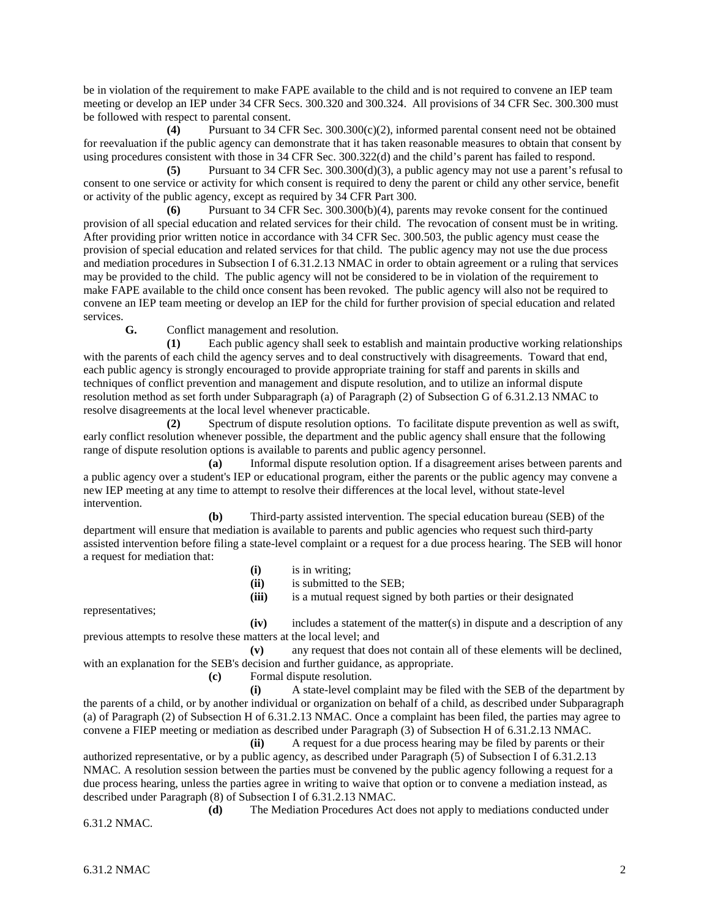be in violation of the requirement to make FAPE available to the child and is not required to convene an IEP team meeting or develop an IEP under 34 CFR Secs. 300.320 and 300.324. All provisions of 34 CFR Sec. 300.300 must be followed with respect to parental consent.

**(4)** Pursuant to 34 CFR Sec. 300.300(c)(2), informed parental consent need not be obtained for reevaluation if the public agency can demonstrate that it has taken reasonable measures to obtain that consent by using procedures consistent with those in 34 CFR Sec. 300.322(d) and the child's parent has failed to respond.

**(5)** Pursuant to 34 CFR Sec. 300.300(d)(3), a public agency may not use a parent's refusal to consent to one service or activity for which consent is required to deny the parent or child any other service, benefit or activity of the public agency, except as required by 34 CFR Part 300.

**(6)** Pursuant to 34 CFR Sec. 300.300(b)(4), parents may revoke consent for the continued provision of all special education and related services for their child. The revocation of consent must be in writing. After providing prior written notice in accordance with 34 CFR Sec. 300.503, the public agency must cease the provision of special education and related services for that child. The public agency may not use the due process and mediation procedures in Subsection I of 6.31.2.13 NMAC in order to obtain agreement or a ruling that services may be provided to the child. The public agency will not be considered to be in violation of the requirement to make FAPE available to the child once consent has been revoked. The public agency will also not be required to convene an IEP team meeting or develop an IEP for the child for further provision of special education and related services.

**G.** Conflict management and resolution.

**(1)** Each public agency shall seek to establish and maintain productive working relationships with the parents of each child the agency serves and to deal constructively with disagreements. Toward that end, each public agency is strongly encouraged to provide appropriate training for staff and parents in skills and techniques of conflict prevention and management and dispute resolution, and to utilize an informal dispute resolution method as set forth under Subparagraph (a) of Paragraph (2) of Subsection G of 6.31.2.13 NMAC to resolve disagreements at the local level whenever practicable.

**(2)** Spectrum of dispute resolution options. To facilitate dispute prevention as well as swift, early conflict resolution whenever possible, the department and the public agency shall ensure that the following range of dispute resolution options is available to parents and public agency personnel.

**(a)** Informal dispute resolution option. If a disagreement arises between parents and a public agency over a student's IEP or educational program, either the parents or the public agency may convene a new IEP meeting at any time to attempt to resolve their differences at the local level, without state-level intervention.

**(b)** Third-party assisted intervention. The special education bureau (SEB) of the department will ensure that mediation is available to parents and public agencies who request such third-party assisted intervention before filing a state-level complaint or a request for a due process hearing. The SEB will honor a request for mediation that:

- **(i)** is in writing;
- **(ii)** is submitted to the SEB;
- **(iii)** is a mutual request signed by both parties or their designated

representatives;

**(iv)** includes a statement of the matter(s) in dispute and a description of any previous attempts to resolve these matters at the local level; and

**(v)** any request that does not contain all of these elements will be declined, with an explanation for the SEB's decision and further guidance, as appropriate.

**(c)** Formal dispute resolution.

**(i)** A state-level complaint may be filed with the SEB of the department by the parents of a child, or by another individual or organization on behalf of a child, as described under Subparagraph (a) of Paragraph (2) of Subsection H of 6.31.2.13 NMAC. Once a complaint has been filed, the parties may agree to convene a FIEP meeting or mediation as described under Paragraph (3) of Subsection H of 6.31.2.13 NMAC.

**(ii)** A request for a due process hearing may be filed by parents or their authorized representative, or by a public agency, as described under Paragraph (5) of Subsection I of 6.31.2.13 NMAC. A resolution session between the parties must be convened by the public agency following a request for a due process hearing, unless the parties agree in writing to waive that option or to convene a mediation instead, as described under Paragraph (8) of Subsection I of 6.31.2.13 NMAC.

**(d)** The Mediation Procedures Act does not apply to mediations conducted under 6.31.2 NMAC.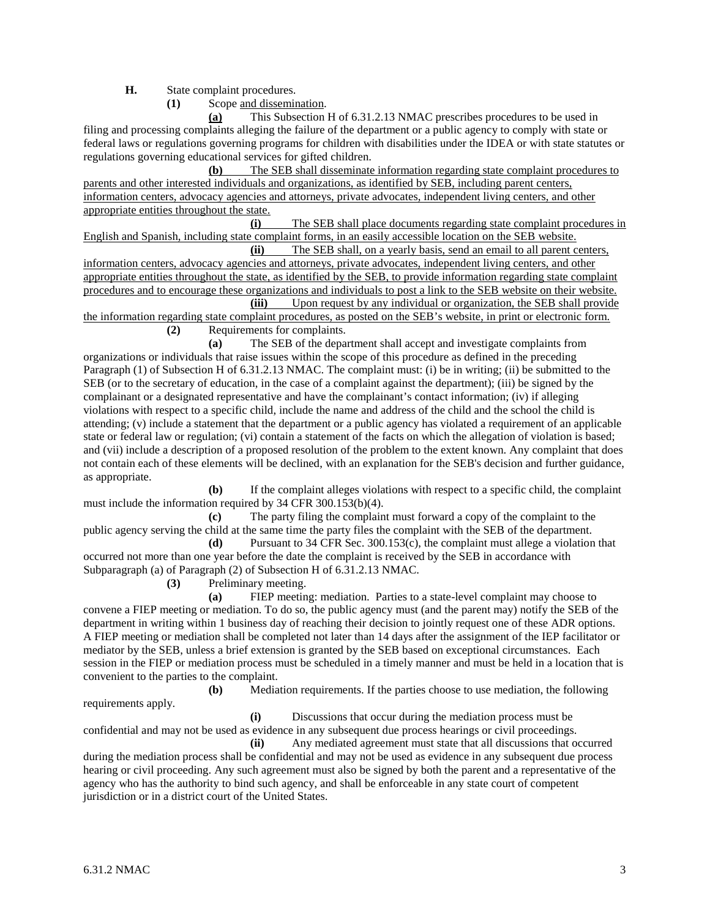**H.** State complaint procedures.

**(1)** Scope and dissemination.

**(a)** This Subsection H of 6.31.2.13 NMAC prescribes procedures to be used in filing and processing complaints alleging the failure of the department or a public agency to comply with state or federal laws or regulations governing programs for children with disabilities under the IDEA or with state statutes or regulations governing educational services for gifted children.

**(b)** The SEB shall disseminate information regarding state complaint procedures to parents and other interested individuals and organizations, as identified by SEB, including parent centers, information centers, advocacy agencies and attorneys, private advocates, independent living centers, and other appropriate entities throughout the state.

**(i)** The SEB shall place documents regarding state complaint procedures in English and Spanish, including state complaint forms, in an easily accessible location on the SEB website.

**(ii)** The SEB shall, on a yearly basis, send an email to all parent centers, information centers, advocacy agencies and attorneys, private advocates, independent living centers, and other appropriate entities throughout the state, as identified by the SEB, to provide information regarding state complaint procedures and to encourage these organizations and individuals to post a link to the SEB website on their website. **(iii)** Upon request by any individual or organization, the SEB shall provide

the information regarding state complaint procedures, as posted on the SEB's website, in print or electronic form. **(2)** Requirements for complaints.

**(a)** The SEB of the department shall accept and investigate complaints from organizations or individuals that raise issues within the scope of this procedure as defined in the preceding Paragraph (1) of Subsection H of 6.31.2.13 NMAC. The complaint must: (i) be in writing; (ii) be submitted to the SEB (or to the secretary of education, in the case of a complaint against the department); (iii) be signed by the complainant or a designated representative and have the complainant's contact information; (iv) if alleging violations with respect to a specific child, include the name and address of the child and the school the child is attending; (v) include a statement that the department or a public agency has violated a requirement of an applicable state or federal law or regulation; (vi) contain a statement of the facts on which the allegation of violation is based; and (vii) include a description of a proposed resolution of the problem to the extent known. Any complaint that does not contain each of these elements will be declined, with an explanation for the SEB's decision and further guidance, as appropriate.

**(b)** If the complaint alleges violations with respect to a specific child, the complaint must include the information required by 34 CFR 300.153(b)(4).

**(c)** The party filing the complaint must forward a copy of the complaint to the public agency serving the child at the same time the party files the complaint with the SEB of the department.

**(d)** Pursuant to 34 CFR Sec. 300.153(c), the complaint must allege a violation that occurred not more than one year before the date the complaint is received by the SEB in accordance with Subparagraph (a) of Paragraph (2) of Subsection H of 6.31.2.13 NMAC.

**(3)** Preliminary meeting.

**(a)** FIEP meeting: mediation. Parties to a state-level complaint may choose to convene a FIEP meeting or mediation. To do so, the public agency must (and the parent may) notify the SEB of the department in writing within 1 business day of reaching their decision to jointly request one of these ADR options. A FIEP meeting or mediation shall be completed not later than 14 days after the assignment of the IEP facilitator or mediator by the SEB, unless a brief extension is granted by the SEB based on exceptional circumstances. Each session in the FIEP or mediation process must be scheduled in a timely manner and must be held in a location that is convenient to the parties to the complaint.

**(b)** Mediation requirements. If the parties choose to use mediation, the following requirements apply.

**(i)** Discussions that occur during the mediation process must be confidential and may not be used as evidence in any subsequent due process hearings or civil proceedings. **(ii)** Any mediated agreement must state that all discussions that occurred

during the mediation process shall be confidential and may not be used as evidence in any subsequent due process hearing or civil proceeding. Any such agreement must also be signed by both the parent and a representative of the agency who has the authority to bind such agency, and shall be enforceable in any state court of competent jurisdiction or in a district court of the United States.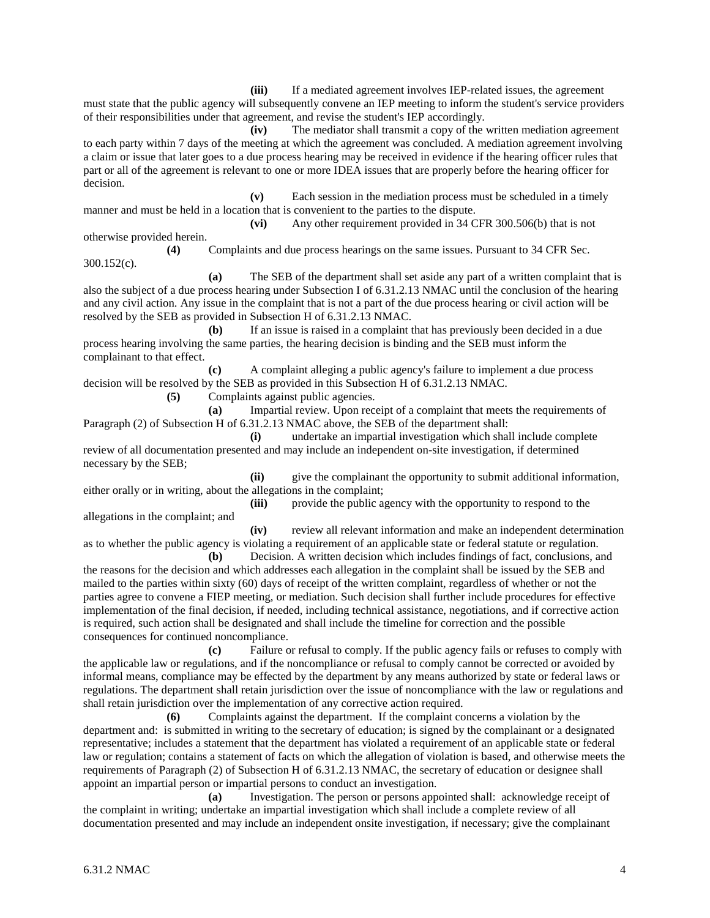**(iii)** If a mediated agreement involves IEP-related issues, the agreement must state that the public agency will subsequently convene an IEP meeting to inform the student's service providers of their responsibilities under that agreement, and revise the student's IEP accordingly.

**(iv)** The mediator shall transmit a copy of the written mediation agreement to each party within 7 days of the meeting at which the agreement was concluded. A mediation agreement involving a claim or issue that later goes to a due process hearing may be received in evidence if the hearing officer rules that part or all of the agreement is relevant to one or more IDEA issues that are properly before the hearing officer for decision.

**(v)** Each session in the mediation process must be scheduled in a timely manner and must be held in a location that is convenient to the parties to the dispute.

**(vi)** Any other requirement provided in 34 CFR 300.506(b) that is not otherwise provided herein.

**(4)** Complaints and due process hearings on the same issues. Pursuant to 34 CFR Sec. 300.152(c).

**(a)** The SEB of the department shall set aside any part of a written complaint that is also the subject of a due process hearing under Subsection I of 6.31.2.13 NMAC until the conclusion of the hearing and any civil action. Any issue in the complaint that is not a part of the due process hearing or civil action will be resolved by the SEB as provided in Subsection H of 6.31.2.13 NMAC.

**(b)** If an issue is raised in a complaint that has previously been decided in a due process hearing involving the same parties, the hearing decision is binding and the SEB must inform the complainant to that effect.

**(c)** A complaint alleging a public agency's failure to implement a due process decision will be resolved by the SEB as provided in this Subsection H of 6.31.2.13 NMAC.

**(5)** Complaints against public agencies.

**(a)** Impartial review. Upon receipt of a complaint that meets the requirements of Paragraph (2) of Subsection H of 6.31.2.13 NMAC above, the SEB of the department shall:

**(i)** undertake an impartial investigation which shall include complete review of all documentation presented and may include an independent on-site investigation, if determined necessary by the SEB;

**(ii)** give the complainant the opportunity to submit additional information, either orally or in writing, about the allegations in the complaint;

**(iii)** provide the public agency with the opportunity to respond to the allegations in the complaint; and

**(iv)** review all relevant information and make an independent determination as to whether the public agency is violating a requirement of an applicable state or federal statute or regulation.

**(b)** Decision. A written decision which includes findings of fact, conclusions, and the reasons for the decision and which addresses each allegation in the complaint shall be issued by the SEB and mailed to the parties within sixty (60) days of receipt of the written complaint, regardless of whether or not the parties agree to convene a FIEP meeting, or mediation. Such decision shall further include procedures for effective implementation of the final decision, if needed, including technical assistance, negotiations, and if corrective action is required, such action shall be designated and shall include the timeline for correction and the possible consequences for continued noncompliance.

**(c)** Failure or refusal to comply. If the public agency fails or refuses to comply with the applicable law or regulations, and if the noncompliance or refusal to comply cannot be corrected or avoided by informal means, compliance may be effected by the department by any means authorized by state or federal laws or regulations. The department shall retain jurisdiction over the issue of noncompliance with the law or regulations and shall retain jurisdiction over the implementation of any corrective action required.

**(6)** Complaints against the department. If the complaint concerns a violation by the department and: is submitted in writing to the secretary of education; is signed by the complainant or a designated representative; includes a statement that the department has violated a requirement of an applicable state or federal law or regulation; contains a statement of facts on which the allegation of violation is based, and otherwise meets the requirements of Paragraph (2) of Subsection H of 6.31.2.13 NMAC, the secretary of education or designee shall appoint an impartial person or impartial persons to conduct an investigation.

**(a)** Investigation. The person or persons appointed shall: acknowledge receipt of the complaint in writing; undertake an impartial investigation which shall include a complete review of all documentation presented and may include an independent onsite investigation, if necessary; give the complainant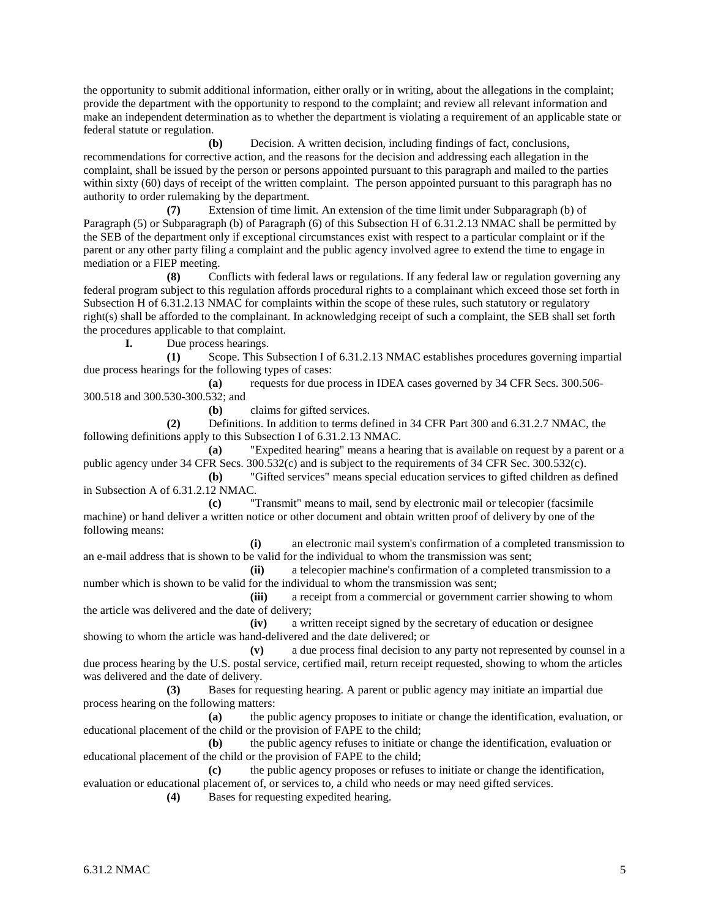the opportunity to submit additional information, either orally or in writing, about the allegations in the complaint; provide the department with the opportunity to respond to the complaint; and review all relevant information and make an independent determination as to whether the department is violating a requirement of an applicable state or federal statute or regulation.

**(b)** Decision. A written decision, including findings of fact, conclusions, recommendations for corrective action, and the reasons for the decision and addressing each allegation in the complaint, shall be issued by the person or persons appointed pursuant to this paragraph and mailed to the parties within sixty (60) days of receipt of the written complaint. The person appointed pursuant to this paragraph has no authority to order rulemaking by the department.

**(7)** Extension of time limit. An extension of the time limit under Subparagraph (b) of Paragraph (5) or Subparagraph (b) of Paragraph (6) of this Subsection H of 6.31.2.13 NMAC shall be permitted by the SEB of the department only if exceptional circumstances exist with respect to a particular complaint or if the parent or any other party filing a complaint and the public agency involved agree to extend the time to engage in mediation or a FIEP meeting.

**(8)** Conflicts with federal laws or regulations. If any federal law or regulation governing any federal program subject to this regulation affords procedural rights to a complainant which exceed those set forth in Subsection H of 6.31.2.13 NMAC for complaints within the scope of these rules, such statutory or regulatory right(s) shall be afforded to the complainant. In acknowledging receipt of such a complaint, the SEB shall set forth the procedures applicable to that complaint.<br>
I. Due process hearings.

Due process hearings.

**(1)** Scope. This Subsection I of 6.31.2.13 NMAC establishes procedures governing impartial due process hearings for the following types of cases:

**(a)** requests for due process in IDEA cases governed by 34 CFR Secs. 300.506- 300.518 and 300.530-300.532; and

**(b)** claims for gifted services.

**(2)** Definitions. In addition to terms defined in 34 CFR Part 300 and 6.31.2.7 NMAC, the following definitions apply to this Subsection I of 6.31.2.13 NMAC.

**(a)** "Expedited hearing" means a hearing that is available on request by a parent or a public agency under 34 CFR Secs. 300.532(c) and is subject to the requirements of 34 CFR Sec. 300.532(c).

**(b)** "Gifted services" means special education services to gifted children as defined in Subsection A of 6.31.2.12 NMAC.

**(c)** "Transmit" means to mail, send by electronic mail or telecopier (facsimile machine) or hand deliver a written notice or other document and obtain written proof of delivery by one of the following means:

**(i)** an electronic mail system's confirmation of a completed transmission to an e-mail address that is shown to be valid for the individual to whom the transmission was sent;

**(ii)** a telecopier machine's confirmation of a completed transmission to a number which is shown to be valid for the individual to whom the transmission was sent;

**(iii)** a receipt from a commercial or government carrier showing to whom the article was delivered and the date of delivery;

**(iv)** a written receipt signed by the secretary of education or designee showing to whom the article was hand-delivered and the date delivered; or

**(v)** a due process final decision to any party not represented by counsel in a due process hearing by the U.S. postal service, certified mail, return receipt requested, showing to whom the articles was delivered and the date of delivery.

**(3)** Bases for requesting hearing. A parent or public agency may initiate an impartial due process hearing on the following matters:

**(a)** the public agency proposes to initiate or change the identification, evaluation, or educational placement of the child or the provision of FAPE to the child;

**(b)** the public agency refuses to initiate or change the identification, evaluation or educational placement of the child or the provision of FAPE to the child;

**(c)** the public agency proposes or refuses to initiate or change the identification, evaluation or educational placement of, or services to, a child who needs or may need gifted services.

**(4)** Bases for requesting expedited hearing.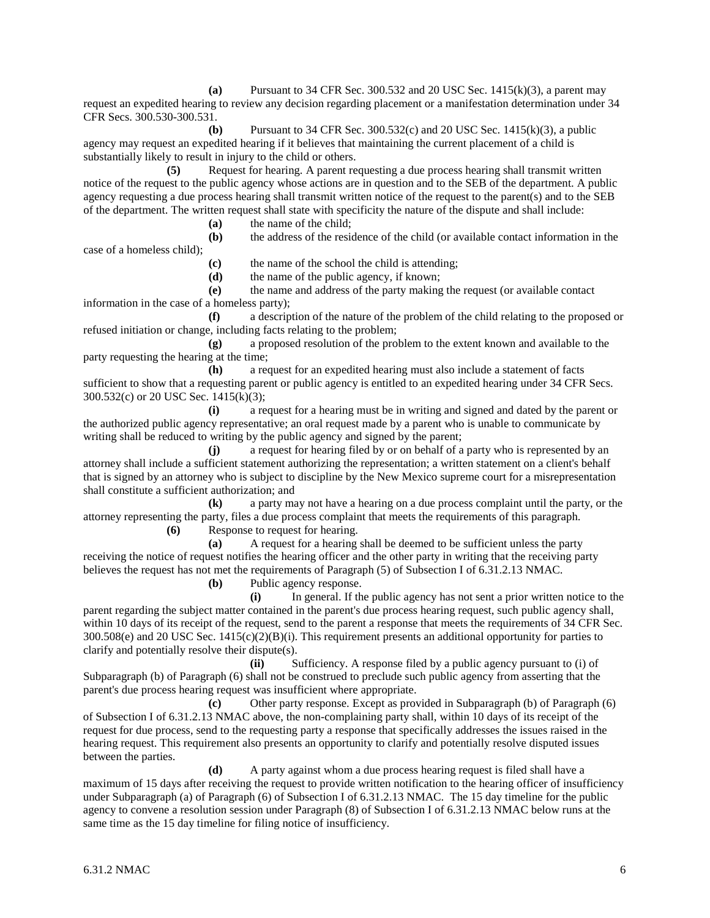**(a)** Pursuant to 34 CFR Sec. 300.532 and 20 USC Sec. 1415(k)(3), a parent may request an expedited hearing to review any decision regarding placement or a manifestation determination under 34 CFR Secs. 300.530-300.531.

**(b)** Pursuant to 34 CFR Sec. 300.532(c) and 20 USC Sec. 1415(k)(3), a public agency may request an expedited hearing if it believes that maintaining the current placement of a child is substantially likely to result in injury to the child or others.

**(5)** Request for hearing. A parent requesting a due process hearing shall transmit written notice of the request to the public agency whose actions are in question and to the SEB of the department. A public agency requesting a due process hearing shall transmit written notice of the request to the parent(s) and to the SEB of the department. The written request shall state with specificity the nature of the dispute and shall include:

**(a)** the name of the child;

**(b)** the address of the residence of the child (or available contact information in the

case of a homeless child);

**(c)** the name of the school the child is attending;

**(d)** the name of the public agency, if known;

**(e)** the name and address of the party making the request (or available contact information in the case of a homeless party);

**(f)** a description of the nature of the problem of the child relating to the proposed or refused initiation or change, including facts relating to the problem;

**(g)** a proposed resolution of the problem to the extent known and available to the party requesting the hearing at the time;

**(h)** a request for an expedited hearing must also include a statement of facts sufficient to show that a requesting parent or public agency is entitled to an expedited hearing under 34 CFR Secs. 300.532(c) or 20 USC Sec. 1415(k)(3);

**(i)** a request for a hearing must be in writing and signed and dated by the parent or the authorized public agency representative; an oral request made by a parent who is unable to communicate by writing shall be reduced to writing by the public agency and signed by the parent;

**(j)** a request for hearing filed by or on behalf of a party who is represented by an attorney shall include a sufficient statement authorizing the representation; a written statement on a client's behalf that is signed by an attorney who is subject to discipline by the New Mexico supreme court for a misrepresentation shall constitute a sufficient authorization; and

**(k)** a party may not have a hearing on a due process complaint until the party, or the attorney representing the party, files a due process complaint that meets the requirements of this paragraph. **(6)** Response to request for hearing.

**(a)** A request for a hearing shall be deemed to be sufficient unless the party

receiving the notice of request notifies the hearing officer and the other party in writing that the receiving party believes the request has not met the requirements of Paragraph (5) of Subsection I of 6.31.2.13 NMAC.

**(b)** Public agency response.

**(i)** In general. If the public agency has not sent a prior written notice to the parent regarding the subject matter contained in the parent's due process hearing request, such public agency shall, within 10 days of its receipt of the request, send to the parent a response that meets the requirements of 34 CFR Sec.  $300.508(e)$  and 20 USC Sec.  $1415(c)(2)(B)(i)$ . This requirement presents an additional opportunity for parties to clarify and potentially resolve their dispute(s).

**(ii)** Sufficiency. A response filed by a public agency pursuant to (i) of Subparagraph (b) of Paragraph (6) shall not be construed to preclude such public agency from asserting that the parent's due process hearing request was insufficient where appropriate.

**(c)** Other party response. Except as provided in Subparagraph (b) of Paragraph (6) of Subsection I of 6.31.2.13 NMAC above, the non-complaining party shall, within 10 days of its receipt of the request for due process, send to the requesting party a response that specifically addresses the issues raised in the hearing request. This requirement also presents an opportunity to clarify and potentially resolve disputed issues between the parties.

**(d)** A party against whom a due process hearing request is filed shall have a maximum of 15 days after receiving the request to provide written notification to the hearing officer of insufficiency under Subparagraph (a) of Paragraph (6) of Subsection I of 6.31.2.13 NMAC. The 15 day timeline for the public agency to convene a resolution session under Paragraph (8) of Subsection I of 6.31.2.13 NMAC below runs at the same time as the 15 day timeline for filing notice of insufficiency.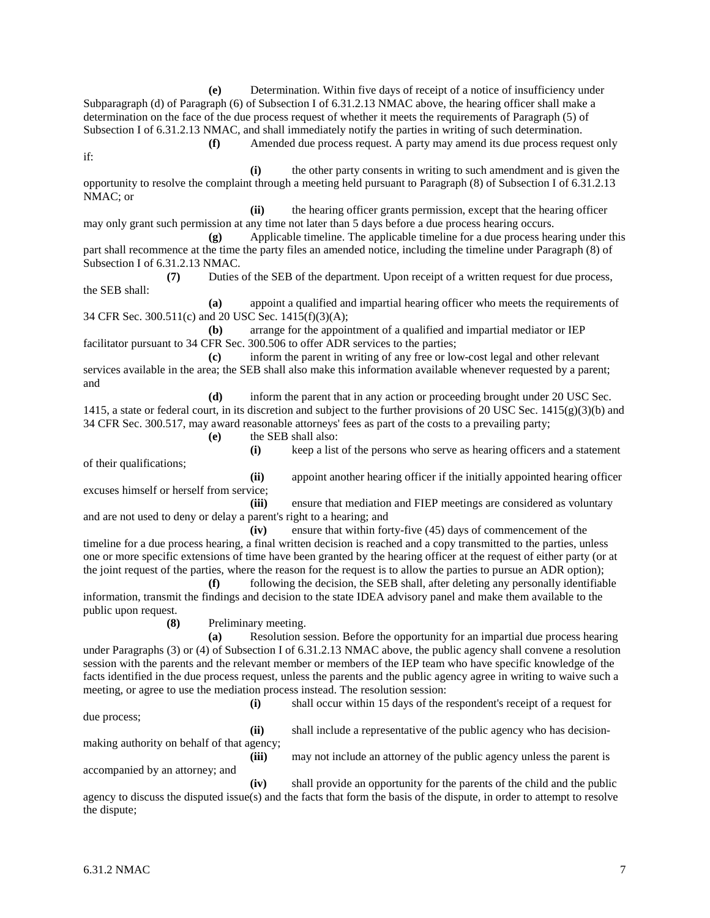**(e)** Determination. Within five days of receipt of a notice of insufficiency under Subparagraph (d) of Paragraph (6) of Subsection I of 6.31.2.13 NMAC above, the hearing officer shall make a determination on the face of the due process request of whether it meets the requirements of Paragraph (5) of Subsection I of 6.31.2.13 NMAC, and shall immediately notify the parties in writing of such determination. **(f)** Amended due process request. A party may amend its due process request only

**(i)** the other party consents in writing to such amendment and is given the opportunity to resolve the complaint through a meeting held pursuant to Paragraph (8) of Subsection I of 6.31.2.13 NMAC; or

**(ii)** the hearing officer grants permission, except that the hearing officer may only grant such permission at any time not later than 5 days before a due process hearing occurs.

**(g)** Applicable timeline. The applicable timeline for a due process hearing under this part shall recommence at the time the party files an amended notice, including the timeline under Paragraph (8) of Subsection I of 6.31.2.13 NMAC.

**(7)** Duties of the SEB of the department. Upon receipt of a written request for due process, the SEB shall:

**(a)** appoint a qualified and impartial hearing officer who meets the requirements of 34 CFR Sec. 300.511(c) and 20 USC Sec. 1415(f)(3)(A);

**(b)** arrange for the appointment of a qualified and impartial mediator or IEP facilitator pursuant to 34 CFR Sec. 300.506 to offer ADR services to the parties;

**(c)** inform the parent in writing of any free or low-cost legal and other relevant services available in the area; the SEB shall also make this information available whenever requested by a parent; and

**(d)** inform the parent that in any action or proceeding brought under 20 USC Sec. 1415, a state or federal court, in its discretion and subject to the further provisions of 20 USC Sec. 1415(g)(3)(b) and 34 CFR Sec. 300.517, may award reasonable attorneys' fees as part of the costs to a prevailing party;

**(e)** the SEB shall also:

of their qualifications;

if:

**(i)** keep a list of the persons who serve as hearing officers and a statement

**(ii)** appoint another hearing officer if the initially appointed hearing officer excuses himself or herself from service;

**(iii)** ensure that mediation and FIEP meetings are considered as voluntary and are not used to deny or delay a parent's right to a hearing; and

**(iv)** ensure that within forty-five (45) days of commencement of the timeline for a due process hearing, a final written decision is reached and a copy transmitted to the parties, unless one or more specific extensions of time have been granted by the hearing officer at the request of either party (or at the joint request of the parties, where the reason for the request is to allow the parties to pursue an ADR option);

**(f)** following the decision, the SEB shall, after deleting any personally identifiable information, transmit the findings and decision to the state IDEA advisory panel and make them available to the public upon request.

**(8)** Preliminary meeting.

**(a)** Resolution session. Before the opportunity for an impartial due process hearing under Paragraphs (3) or (4) of Subsection I of 6.31.2.13 NMAC above, the public agency shall convene a resolution session with the parents and the relevant member or members of the IEP team who have specific knowledge of the facts identified in the due process request, unless the parents and the public agency agree in writing to waive such a meeting, or agree to use the mediation process instead. The resolution session:

**(i)** shall occur within 15 days of the respondent's receipt of a request for due process;

**(ii)** shall include a representative of the public agency who has decision-

making authority on behalf of that agency;

accompanied by an attorney; and

**(iii)** may not include an attorney of the public agency unless the parent is

**(iv)** shall provide an opportunity for the parents of the child and the public agency to discuss the disputed issue(s) and the facts that form the basis of the dispute, in order to attempt to resolve the dispute;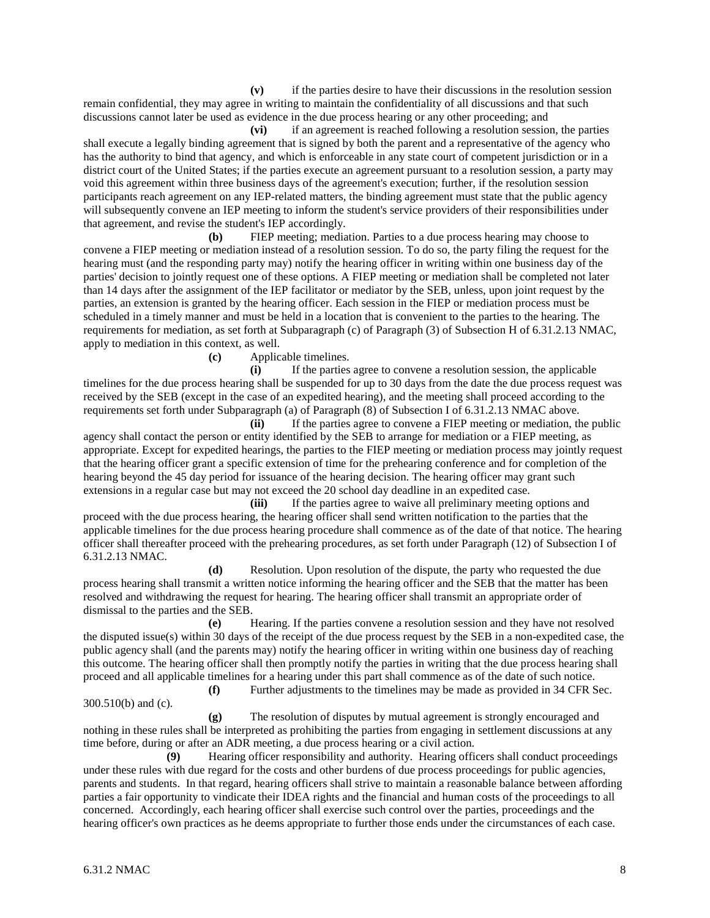**(v)** if the parties desire to have their discussions in the resolution session remain confidential, they may agree in writing to maintain the confidentiality of all discussions and that such discussions cannot later be used as evidence in the due process hearing or any other proceeding; and

**(vi)** if an agreement is reached following a resolution session, the parties shall execute a legally binding agreement that is signed by both the parent and a representative of the agency who has the authority to bind that agency, and which is enforceable in any state court of competent jurisdiction or in a district court of the United States; if the parties execute an agreement pursuant to a resolution session, a party may void this agreement within three business days of the agreement's execution; further, if the resolution session participants reach agreement on any IEP-related matters, the binding agreement must state that the public agency will subsequently convene an IEP meeting to inform the student's service providers of their responsibilities under that agreement, and revise the student's IEP accordingly.

**(b)** FIEP meeting; mediation. Parties to a due process hearing may choose to convene a FIEP meeting or mediation instead of a resolution session. To do so, the party filing the request for the hearing must (and the responding party may) notify the hearing officer in writing within one business day of the parties' decision to jointly request one of these options. A FIEP meeting or mediation shall be completed not later than 14 days after the assignment of the IEP facilitator or mediator by the SEB, unless, upon joint request by the parties, an extension is granted by the hearing officer. Each session in the FIEP or mediation process must be scheduled in a timely manner and must be held in a location that is convenient to the parties to the hearing. The requirements for mediation, as set forth at Subparagraph (c) of Paragraph (3) of Subsection H of 6.31.2.13 NMAC, apply to mediation in this context, as well.

**(c)** Applicable timelines.

**(i)** If the parties agree to convene a resolution session, the applicable timelines for the due process hearing shall be suspended for up to 30 days from the date the due process request was received by the SEB (except in the case of an expedited hearing), and the meeting shall proceed according to the requirements set forth under Subparagraph (a) of Paragraph (8) of Subsection I of 6.31.2.13 NMAC above.

**(ii)** If the parties agree to convene a FIEP meeting or mediation, the public agency shall contact the person or entity identified by the SEB to arrange for mediation or a FIEP meeting, as appropriate. Except for expedited hearings, the parties to the FIEP meeting or mediation process may jointly request that the hearing officer grant a specific extension of time for the prehearing conference and for completion of the hearing beyond the 45 day period for issuance of the hearing decision. The hearing officer may grant such extensions in a regular case but may not exceed the 20 school day deadline in an expedited case.

**(iii)** If the parties agree to waive all preliminary meeting options and proceed with the due process hearing, the hearing officer shall send written notification to the parties that the applicable timelines for the due process hearing procedure shall commence as of the date of that notice. The hearing officer shall thereafter proceed with the prehearing procedures, as set forth under Paragraph (12) of Subsection I of 6.31.2.13 NMAC.

**(d)** Resolution. Upon resolution of the dispute, the party who requested the due process hearing shall transmit a written notice informing the hearing officer and the SEB that the matter has been resolved and withdrawing the request for hearing. The hearing officer shall transmit an appropriate order of dismissal to the parties and the SEB.

**(e)** Hearing. If the parties convene a resolution session and they have not resolved the disputed issue(s) within 30 days of the receipt of the due process request by the SEB in a non-expedited case, the public agency shall (and the parents may) notify the hearing officer in writing within one business day of reaching this outcome. The hearing officer shall then promptly notify the parties in writing that the due process hearing shall proceed and all applicable timelines for a hearing under this part shall commence as of the date of such notice.

300.510(b) and (c).

**(f)** Further adjustments to the timelines may be made as provided in 34 CFR Sec.

**(g)** The resolution of disputes by mutual agreement is strongly encouraged and nothing in these rules shall be interpreted as prohibiting the parties from engaging in settlement discussions at any time before, during or after an ADR meeting, a due process hearing or a civil action.

**(9)** Hearing officer responsibility and authority. Hearing officers shall conduct proceedings under these rules with due regard for the costs and other burdens of due process proceedings for public agencies, parents and students. In that regard, hearing officers shall strive to maintain a reasonable balance between affording parties a fair opportunity to vindicate their IDEA rights and the financial and human costs of the proceedings to all concerned. Accordingly, each hearing officer shall exercise such control over the parties, proceedings and the hearing officer's own practices as he deems appropriate to further those ends under the circumstances of each case.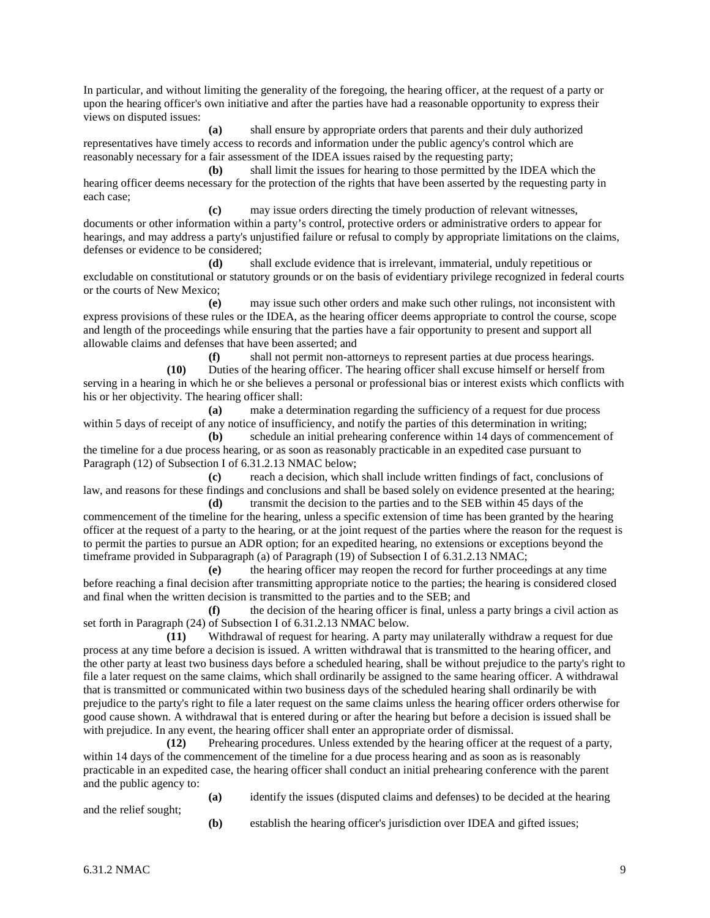In particular, and without limiting the generality of the foregoing, the hearing officer, at the request of a party or upon the hearing officer's own initiative and after the parties have had a reasonable opportunity to express their views on disputed issues:

**(a)** shall ensure by appropriate orders that parents and their duly authorized representatives have timely access to records and information under the public agency's control which are reasonably necessary for a fair assessment of the IDEA issues raised by the requesting party;

**(b)** shall limit the issues for hearing to those permitted by the IDEA which the hearing officer deems necessary for the protection of the rights that have been asserted by the requesting party in each case;

**(c)** may issue orders directing the timely production of relevant witnesses, documents or other information within a party's control, protective orders or administrative orders to appear for hearings, and may address a party's unjustified failure or refusal to comply by appropriate limitations on the claims, defenses or evidence to be considered;

**(d)** shall exclude evidence that is irrelevant, immaterial, unduly repetitious or excludable on constitutional or statutory grounds or on the basis of evidentiary privilege recognized in federal courts or the courts of New Mexico;

**(e)** may issue such other orders and make such other rulings, not inconsistent with express provisions of these rules or the IDEA, as the hearing officer deems appropriate to control the course, scope and length of the proceedings while ensuring that the parties have a fair opportunity to present and support all allowable claims and defenses that have been asserted; and

**(f)** shall not permit non-attorneys to represent parties at due process hearings. **(10)** Duties of the hearing officer. The hearing officer shall excuse himself or herself from serving in a hearing in which he or she believes a personal or professional bias or interest exists which conflicts with his or her objectivity. The hearing officer shall:

**(a)** make a determination regarding the sufficiency of a request for due process within 5 days of receipt of any notice of insufficiency, and notify the parties of this determination in writing;

**(b)** schedule an initial prehearing conference within 14 days of commencement of the timeline for a due process hearing, or as soon as reasonably practicable in an expedited case pursuant to Paragraph (12) of Subsection I of 6.31.2.13 NMAC below;

**(c)** reach a decision, which shall include written findings of fact, conclusions of law, and reasons for these findings and conclusions and shall be based solely on evidence presented at the hearing; **(d)** transmit the decision to the parties and to the SEB within 45 days of the

commencement of the timeline for the hearing, unless a specific extension of time has been granted by the hearing officer at the request of a party to the hearing, or at the joint request of the parties where the reason for the request is to permit the parties to pursue an ADR option; for an expedited hearing, no extensions or exceptions beyond the timeframe provided in Subparagraph (a) of Paragraph (19) of Subsection I of 6.31.2.13 NMAC;

**(e)** the hearing officer may reopen the record for further proceedings at any time before reaching a final decision after transmitting appropriate notice to the parties; the hearing is considered closed and final when the written decision is transmitted to the parties and to the SEB; and

**(f)** the decision of the hearing officer is final, unless a party brings a civil action as set forth in Paragraph (24) of Subsection I of 6.31.2.13 NMAC below.

**(11)** Withdrawal of request for hearing. A party may unilaterally withdraw a request for due process at any time before a decision is issued. A written withdrawal that is transmitted to the hearing officer, and the other party at least two business days before a scheduled hearing, shall be without prejudice to the party's right to file a later request on the same claims, which shall ordinarily be assigned to the same hearing officer. A withdrawal that is transmitted or communicated within two business days of the scheduled hearing shall ordinarily be with prejudice to the party's right to file a later request on the same claims unless the hearing officer orders otherwise for good cause shown. A withdrawal that is entered during or after the hearing but before a decision is issued shall be with prejudice. In any event, the hearing officer shall enter an appropriate order of dismissal.

**(12)** Prehearing procedures. Unless extended by the hearing officer at the request of a party, within 14 days of the commencement of the timeline for a due process hearing and as soon as is reasonably practicable in an expedited case, the hearing officer shall conduct an initial prehearing conference with the parent and the public agency to:

**(a)** identify the issues (disputed claims and defenses) to be decided at the hearing

and the relief sought;

**(b)** establish the hearing officer's jurisdiction over IDEA and gifted issues;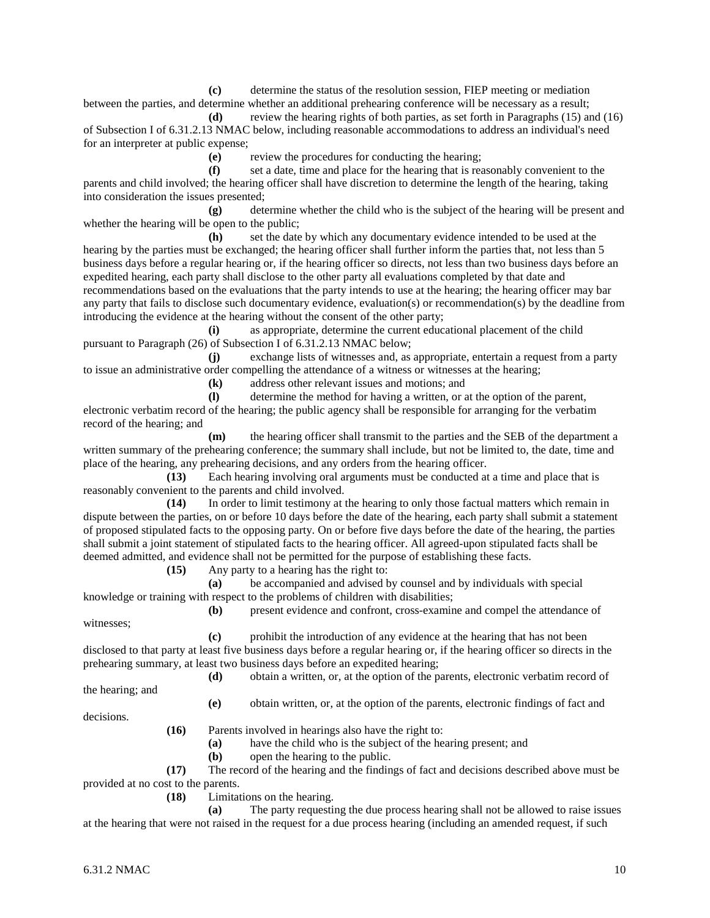**(c)** determine the status of the resolution session, FIEP meeting or mediation between the parties, and determine whether an additional prehearing conference will be necessary as a result;

**(d)** review the hearing rights of both parties, as set forth in Paragraphs (15) and (16) of Subsection I of 6.31.2.13 NMAC below, including reasonable accommodations to address an individual's need for an interpreter at public expense;

**(e)** review the procedures for conducting the hearing;

**(f)** set a date, time and place for the hearing that is reasonably convenient to the parents and child involved; the hearing officer shall have discretion to determine the length of the hearing, taking into consideration the issues presented;

**(g)** determine whether the child who is the subject of the hearing will be present and whether the hearing will be open to the public;

**(h)** set the date by which any documentary evidence intended to be used at the hearing by the parties must be exchanged; the hearing officer shall further inform the parties that, not less than 5 business days before a regular hearing or, if the hearing officer so directs, not less than two business days before an expedited hearing, each party shall disclose to the other party all evaluations completed by that date and recommendations based on the evaluations that the party intends to use at the hearing; the hearing officer may bar any party that fails to disclose such documentary evidence, evaluation(s) or recommendation(s) by the deadline from introducing the evidence at the hearing without the consent of the other party;

**(i)** as appropriate, determine the current educational placement of the child pursuant to Paragraph (26) of Subsection I of 6.31.2.13 NMAC below;

**(j)** exchange lists of witnesses and, as appropriate, entertain a request from a party to issue an administrative order compelling the attendance of a witness or witnesses at the hearing;

**(k)** address other relevant issues and motions; and

**(l)** determine the method for having a written, or at the option of the parent,

electronic verbatim record of the hearing; the public agency shall be responsible for arranging for the verbatim record of the hearing; and

**(m)** the hearing officer shall transmit to the parties and the SEB of the department a written summary of the prehearing conference; the summary shall include, but not be limited to, the date, time and place of the hearing, any prehearing decisions, and any orders from the hearing officer.

**(13)** Each hearing involving oral arguments must be conducted at a time and place that is reasonably convenient to the parents and child involved.

**(14)** In order to limit testimony at the hearing to only those factual matters which remain in dispute between the parties, on or before 10 days before the date of the hearing, each party shall submit a statement of proposed stipulated facts to the opposing party. On or before five days before the date of the hearing, the parties shall submit a joint statement of stipulated facts to the hearing officer. All agreed-upon stipulated facts shall be deemed admitted, and evidence shall not be permitted for the purpose of establishing these facts.

**(15)** Any party to a hearing has the right to:

**(a)** be accompanied and advised by counsel and by individuals with special knowledge or training with respect to the problems of children with disabilities;

witnesses;

**(b)** present evidence and confront, cross-examine and compel the attendance of

**(c)** prohibit the introduction of any evidence at the hearing that has not been disclosed to that party at least five business days before a regular hearing or, if the hearing officer so directs in the prehearing summary, at least two business days before an expedited hearing;

**(d)** obtain a written, or, at the option of the parents, electronic verbatim record of

the hearing; and

**(e)** obtain written, or, at the option of the parents, electronic findings of fact and

decisions.

**(16)** Parents involved in hearings also have the right to:

**(a)** have the child who is the subject of the hearing present; and

**(b)** open the hearing to the public.

**(17)** The record of the hearing and the findings of fact and decisions described above must be provided at no cost to the parents.

**(18)** Limitations on the hearing.

**(a)** The party requesting the due process hearing shall not be allowed to raise issues at the hearing that were not raised in the request for a due process hearing (including an amended request, if such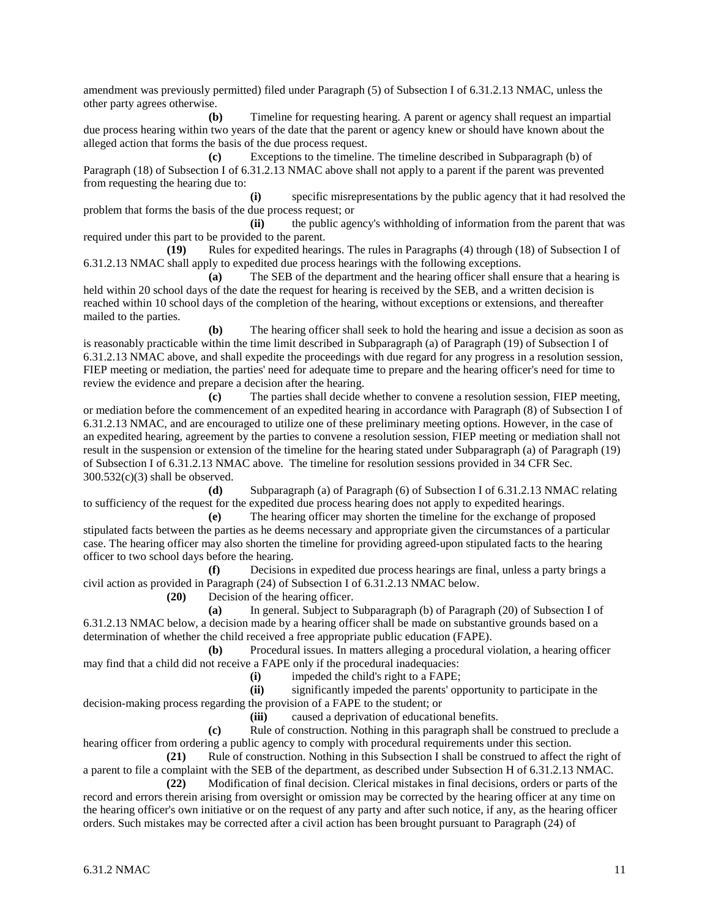amendment was previously permitted) filed under Paragraph (5) of Subsection I of 6.31.2.13 NMAC, unless the other party agrees otherwise.

**(b)** Timeline for requesting hearing. A parent or agency shall request an impartial due process hearing within two years of the date that the parent or agency knew or should have known about the alleged action that forms the basis of the due process request.

**(c)** Exceptions to the timeline. The timeline described in Subparagraph (b) of Paragraph (18) of Subsection I of 6.31.2.13 NMAC above shall not apply to a parent if the parent was prevented from requesting the hearing due to:

**(i)** specific misrepresentations by the public agency that it had resolved the problem that forms the basis of the due process request; or

**(ii)** the public agency's withholding of information from the parent that was required under this part to be provided to the parent.

**(19)** Rules for expedited hearings. The rules in Paragraphs (4) through (18) of Subsection I of 6.31.2.13 NMAC shall apply to expedited due process hearings with the following exceptions.

**(a)** The SEB of the department and the hearing officer shall ensure that a hearing is held within 20 school days of the date the request for hearing is received by the SEB, and a written decision is reached within 10 school days of the completion of the hearing, without exceptions or extensions, and thereafter mailed to the parties.

**(b)** The hearing officer shall seek to hold the hearing and issue a decision as soon as is reasonably practicable within the time limit described in Subparagraph (a) of Paragraph (19) of Subsection I of 6.31.2.13 NMAC above, and shall expedite the proceedings with due regard for any progress in a resolution session, FIEP meeting or mediation, the parties' need for adequate time to prepare and the hearing officer's need for time to review the evidence and prepare a decision after the hearing.

**(c)** The parties shall decide whether to convene a resolution session, FIEP meeting, or mediation before the commencement of an expedited hearing in accordance with Paragraph (8) of Subsection I of 6.31.2.13 NMAC, and are encouraged to utilize one of these preliminary meeting options. However, in the case of an expedited hearing, agreement by the parties to convene a resolution session, FIEP meeting or mediation shall not result in the suspension or extension of the timeline for the hearing stated under Subparagraph (a) of Paragraph (19) of Subsection I of 6.31.2.13 NMAC above. The timeline for resolution sessions provided in 34 CFR Sec.  $300.532(c)(3)$  shall be observed.

**(d)** Subparagraph (a) of Paragraph (6) of Subsection I of 6.31.2.13 NMAC relating to sufficiency of the request for the expedited due process hearing does not apply to expedited hearings.

**(e)** The hearing officer may shorten the timeline for the exchange of proposed stipulated facts between the parties as he deems necessary and appropriate given the circumstances of a particular case. The hearing officer may also shorten the timeline for providing agreed-upon stipulated facts to the hearing officer to two school days before the hearing.

**(f)** Decisions in expedited due process hearings are final, unless a party brings a civil action as provided in Paragraph (24) of Subsection I of 6.31.2.13 NMAC below.

**(20)** Decision of the hearing officer.

**(a)** In general. Subject to Subparagraph (b) of Paragraph (20) of Subsection I of 6.31.2.13 NMAC below, a decision made by a hearing officer shall be made on substantive grounds based on a determination of whether the child received a free appropriate public education (FAPE).

**(b)** Procedural issues. In matters alleging a procedural violation, a hearing officer may find that a child did not receive a FAPE only if the procedural inadequacies:

**(i)** impeded the child's right to a FAPE;

**(ii)** significantly impeded the parents' opportunity to participate in the decision-making process regarding the provision of a FAPE to the student; or

**(iii)** caused a deprivation of educational benefits.

**(c)** Rule of construction. Nothing in this paragraph shall be construed to preclude a hearing officer from ordering a public agency to comply with procedural requirements under this section.

**(21)** Rule of construction. Nothing in this Subsection I shall be construed to affect the right of a parent to file a complaint with the SEB of the department, as described under Subsection H of 6.31.2.13 NMAC.

**(22)** Modification of final decision. Clerical mistakes in final decisions, orders or parts of the record and errors therein arising from oversight or omission may be corrected by the hearing officer at any time on the hearing officer's own initiative or on the request of any party and after such notice, if any, as the hearing officer orders. Such mistakes may be corrected after a civil action has been brought pursuant to Paragraph (24) of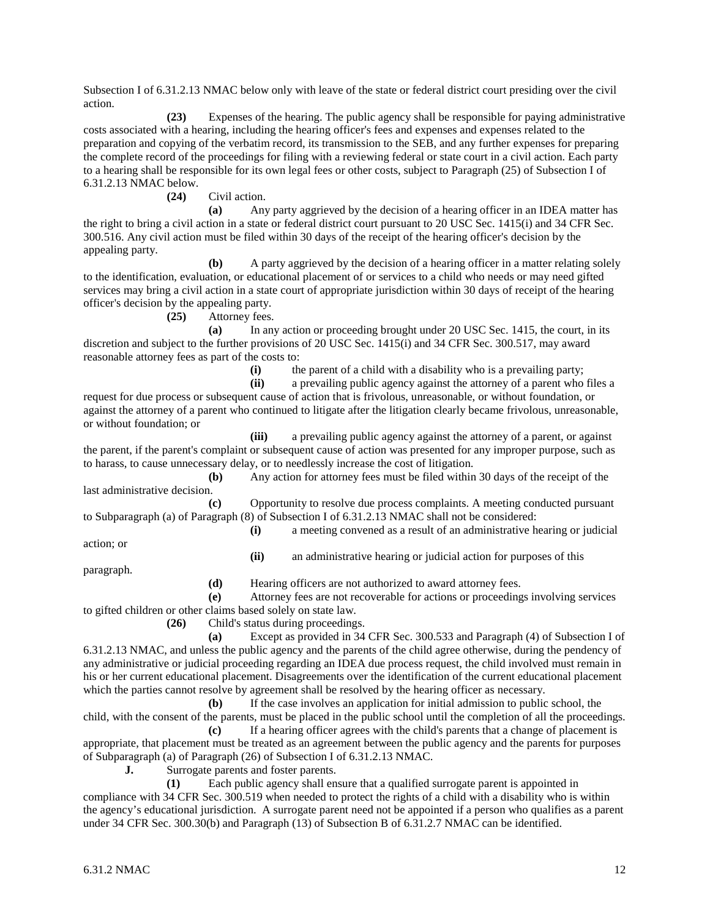Subsection I of 6.31.2.13 NMAC below only with leave of the state or federal district court presiding over the civil action.

**(23)** Expenses of the hearing. The public agency shall be responsible for paying administrative costs associated with a hearing, including the hearing officer's fees and expenses and expenses related to the preparation and copying of the verbatim record, its transmission to the SEB, and any further expenses for preparing the complete record of the proceedings for filing with a reviewing federal or state court in a civil action. Each party to a hearing shall be responsible for its own legal fees or other costs, subject to Paragraph (25) of Subsection I of 6.31.2.13 NMAC below.

**(24)** Civil action.

**(a)** Any party aggrieved by the decision of a hearing officer in an IDEA matter has the right to bring a civil action in a state or federal district court pursuant to 20 USC Sec. 1415(i) and 34 CFR Sec. 300.516. Any civil action must be filed within 30 days of the receipt of the hearing officer's decision by the appealing party.

**(b)** A party aggrieved by the decision of a hearing officer in a matter relating solely to the identification, evaluation, or educational placement of or services to a child who needs or may need gifted services may bring a civil action in a state court of appropriate jurisdiction within 30 days of receipt of the hearing officer's decision by the appealing party.

**(25)** Attorney fees.

**(a)** In any action or proceeding brought under 20 USC Sec. 1415, the court, in its discretion and subject to the further provisions of 20 USC Sec. 1415(i) and 34 CFR Sec. 300.517, may award reasonable attorney fees as part of the costs to:

(i) the parent of a child with a disability who is a prevailing party;<br>(ii) a prevailing public agency against the attorney of a parent who

**(ii)** a prevailing public agency against the attorney of a parent who files a request for due process or subsequent cause of action that is frivolous, unreasonable, or without foundation, or against the attorney of a parent who continued to litigate after the litigation clearly became frivolous, unreasonable, or without foundation; or

**(iii)** a prevailing public agency against the attorney of a parent, or against the parent, if the parent's complaint or subsequent cause of action was presented for any improper purpose, such as to harass, to cause unnecessary delay, or to needlessly increase the cost of litigation.

**(b)** Any action for attorney fees must be filed within 30 days of the receipt of the last administrative decision.

**(c)** Opportunity to resolve due process complaints. A meeting conducted pursuant to Subparagraph (a) of Paragraph (8) of Subsection I of 6.31.2.13 NMAC shall not be considered:

**(i)** a meeting convened as a result of an administrative hearing or judicial

action; or

**(ii)** an administrative hearing or judicial action for purposes of this

paragraph.

**(d)** Hearing officers are not authorized to award attorney fees.

**(e)** Attorney fees are not recoverable for actions or proceedings involving services to gifted children or other claims based solely on state law.

**(26)** Child's status during proceedings.

**(a)** Except as provided in 34 CFR Sec. 300.533 and Paragraph (4) of Subsection I of 6.31.2.13 NMAC, and unless the public agency and the parents of the child agree otherwise, during the pendency of any administrative or judicial proceeding regarding an IDEA due process request, the child involved must remain in his or her current educational placement. Disagreements over the identification of the current educational placement which the parties cannot resolve by agreement shall be resolved by the hearing officer as necessary.

**(b)** If the case involves an application for initial admission to public school, the child, with the consent of the parents, must be placed in the public school until the completion of all the proceedings.

**(c)** If a hearing officer agrees with the child's parents that a change of placement is appropriate, that placement must be treated as an agreement between the public agency and the parents for purposes of Subparagraph (a) of Paragraph (26) of Subsection I of 6.31.2.13 NMAC.

**J.** Surrogate parents and foster parents.

**(1)** Each public agency shall ensure that a qualified surrogate parent is appointed in compliance with 34 CFR Sec. 300.519 when needed to protect the rights of a child with a disability who is within the agency's educational jurisdiction. A surrogate parent need not be appointed if a person who qualifies as a parent under 34 CFR Sec. 300.30(b) and Paragraph (13) of Subsection B of 6.31.2.7 NMAC can be identified.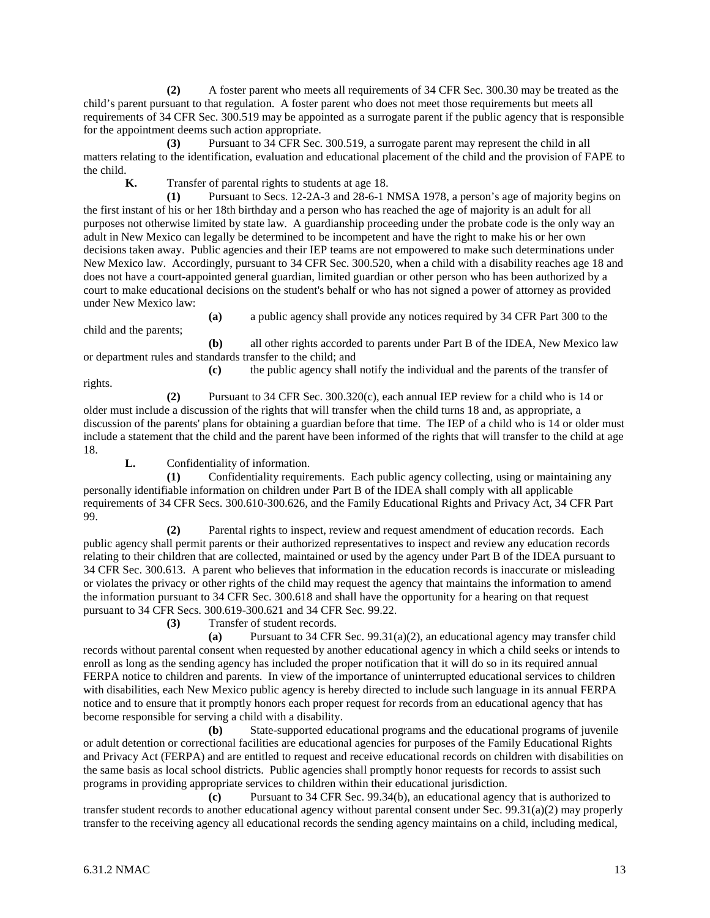**(2)** A foster parent who meets all requirements of 34 CFR Sec. 300.30 may be treated as the child's parent pursuant to that regulation. A foster parent who does not meet those requirements but meets all requirements of 34 CFR Sec. 300.519 may be appointed as a surrogate parent if the public agency that is responsible for the appointment deems such action appropriate.

**(3)** Pursuant to 34 CFR Sec. 300.519, a surrogate parent may represent the child in all matters relating to the identification, evaluation and educational placement of the child and the provision of FAPE to the child.

**K.** Transfer of parental rights to students at age 18.

**(1)** Pursuant to Secs. 12-2A-3 and 28-6-1 NMSA 1978, a person's age of majority begins on the first instant of his or her 18th birthday and a person who has reached the age of majority is an adult for all purposes not otherwise limited by state law. A guardianship proceeding under the probate code is the only way an adult in New Mexico can legally be determined to be incompetent and have the right to make his or her own decisions taken away. Public agencies and their IEP teams are not empowered to make such determinations under New Mexico law. Accordingly, pursuant to 34 CFR Sec. 300.520, when a child with a disability reaches age 18 and does not have a court-appointed general guardian, limited guardian or other person who has been authorized by a court to make educational decisions on the student's behalf or who has not signed a power of attorney as provided under New Mexico law:

**(a)** a public agency shall provide any notices required by 34 CFR Part 300 to the

**(b)** all other rights accorded to parents under Part B of the IDEA, New Mexico law or department rules and standards transfer to the child; and

rights.

child and the parents;

**(c)** the public agency shall notify the individual and the parents of the transfer of

**(2)** Pursuant to 34 CFR Sec. 300.320(c), each annual IEP review for a child who is 14 or older must include a discussion of the rights that will transfer when the child turns 18 and, as appropriate, a discussion of the parents' plans for obtaining a guardian before that time. The IEP of a child who is 14 or older must include a statement that the child and the parent have been informed of the rights that will transfer to the child at age 18.

**L.** Confidentiality of information.

**(1)** Confidentiality requirements. Each public agency collecting, using or maintaining any personally identifiable information on children under Part B of the IDEA shall comply with all applicable requirements of 34 CFR Secs. 300.610-300.626, and the Family Educational Rights and Privacy Act, 34 CFR Part 99.

**(2)** Parental rights to inspect, review and request amendment of education records. Each public agency shall permit parents or their authorized representatives to inspect and review any education records relating to their children that are collected, maintained or used by the agency under Part B of the IDEA pursuant to 34 CFR Sec. 300.613. A parent who believes that information in the education records is inaccurate or misleading or violates the privacy or other rights of the child may request the agency that maintains the information to amend the information pursuant to 34 CFR Sec. 300.618 and shall have the opportunity for a hearing on that request pursuant to 34 CFR Secs. 300.619-300.621 and 34 CFR Sec. 99.22.

**(3)** Transfer of student records.

**(a)** Pursuant to 34 CFR Sec. 99.31(a)(2), an educational agency may transfer child records without parental consent when requested by another educational agency in which a child seeks or intends to enroll as long as the sending agency has included the proper notification that it will do so in its required annual FERPA notice to children and parents. In view of the importance of uninterrupted educational services to children with disabilities, each New Mexico public agency is hereby directed to include such language in its annual FERPA notice and to ensure that it promptly honors each proper request for records from an educational agency that has become responsible for serving a child with a disability.

**(b)** State-supported educational programs and the educational programs of juvenile or adult detention or correctional facilities are educational agencies for purposes of the Family Educational Rights and Privacy Act (FERPA) and are entitled to request and receive educational records on children with disabilities on the same basis as local school districts. Public agencies shall promptly honor requests for records to assist such programs in providing appropriate services to children within their educational jurisdiction.

**(c)** Pursuant to 34 CFR Sec. 99.34(b), an educational agency that is authorized to transfer student records to another educational agency without parental consent under Sec. 99.31(a)(2) may properly transfer to the receiving agency all educational records the sending agency maintains on a child, including medical,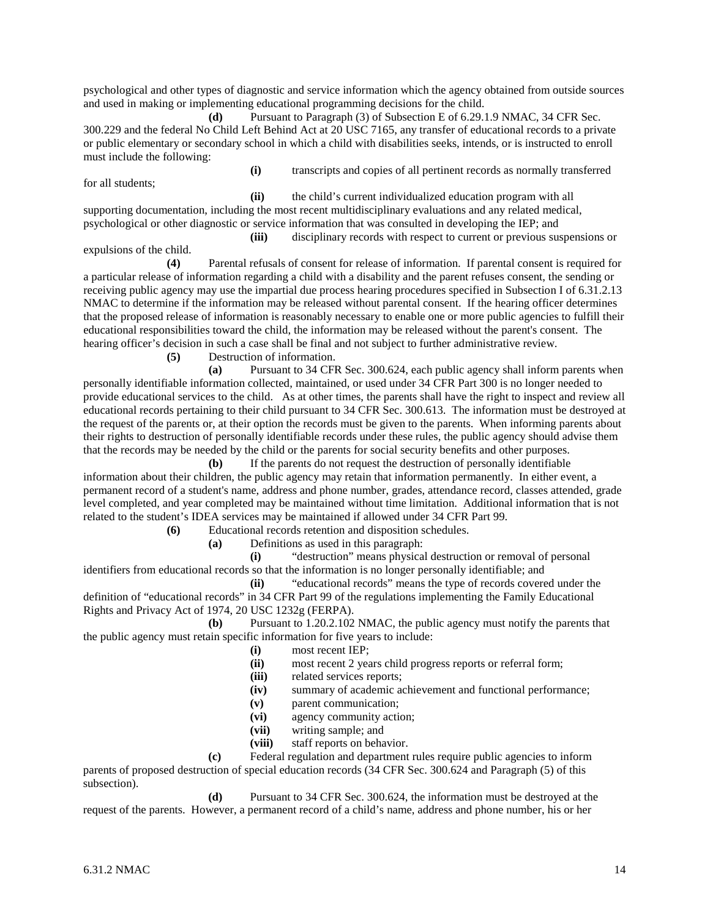psychological and other types of diagnostic and service information which the agency obtained from outside sources and used in making or implementing educational programming decisions for the child.

**(d)** Pursuant to Paragraph (3) of Subsection E of 6.29.1.9 NMAC, 34 CFR Sec. 300.229 and the federal No Child Left Behind Act at 20 USC 7165, any transfer of educational records to a private or public elementary or secondary school in which a child with disabilities seeks, intends, or is instructed to enroll must include the following:

for all students;

**(i)** transcripts and copies of all pertinent records as normally transferred

**(ii)** the child's current individualized education program with all supporting documentation, including the most recent multidisciplinary evaluations and any related medical, psychological or other diagnostic or service information that was consulted in developing the IEP; and

expulsions of the child.

**(iii)** disciplinary records with respect to current or previous suspensions or

**(4)** Parental refusals of consent for release of information. If parental consent is required for a particular release of information regarding a child with a disability and the parent refuses consent, the sending or receiving public agency may use the impartial due process hearing procedures specified in Subsection I of 6.31.2.13 NMAC to determine if the information may be released without parental consent. If the hearing officer determines that the proposed release of information is reasonably necessary to enable one or more public agencies to fulfill their educational responsibilities toward the child, the information may be released without the parent's consent. The hearing officer's decision in such a case shall be final and not subject to further administrative review.

**(5)** Destruction of information.

**(a)** Pursuant to 34 CFR Sec. 300.624, each public agency shall inform parents when personally identifiable information collected, maintained, or used under 34 CFR Part 300 is no longer needed to provide educational services to the child. As at other times, the parents shall have the right to inspect and review all educational records pertaining to their child pursuant to 34 CFR Sec. 300.613. The information must be destroyed at the request of the parents or, at their option the records must be given to the parents. When informing parents about their rights to destruction of personally identifiable records under these rules, the public agency should advise them that the records may be needed by the child or the parents for social security benefits and other purposes.

**(b)** If the parents do not request the destruction of personally identifiable information about their children, the public agency may retain that information permanently. In either event, a permanent record of a student's name, address and phone number, grades, attendance record, classes attended, grade level completed, and year completed may be maintained without time limitation. Additional information that is not related to the student's IDEA services may be maintained if allowed under 34 CFR Part 99.

**(6)** Educational records retention and disposition schedules.

**(a)** Definitions as used in this paragraph:

**(i)** "destruction" means physical destruction or removal of personal identifiers from educational records so that the information is no longer personally identifiable; and

**(ii)** "educational records" means the type of records covered under the definition of "educational records" in 34 CFR Part 99 of the regulations implementing the Family Educational Rights and Privacy Act of 1974, 20 USC 1232g (FERPA).

**(b)** Pursuant to 1.20.2.102 NMAC, the public agency must notify the parents that the public agency must retain specific information for five years to include:

- **(i)** most recent IEP;
- most recent 2 years child progress reports or referral form;
- **(iii)** related services reports;
- **(iv)** summary of academic achievement and functional performance;
- **(v)** parent communication;
- **(vi)** agency community action;
- **(vii)** writing sample; and
- **(viii)** staff reports on behavior.

**(c)** Federal regulation and department rules require public agencies to inform parents of proposed destruction of special education records (34 CFR Sec. 300.624 and Paragraph (5) of this subsection).

**(d)** Pursuant to 34 CFR Sec. 300.624, the information must be destroyed at the request of the parents. However, a permanent record of a child's name, address and phone number, his or her